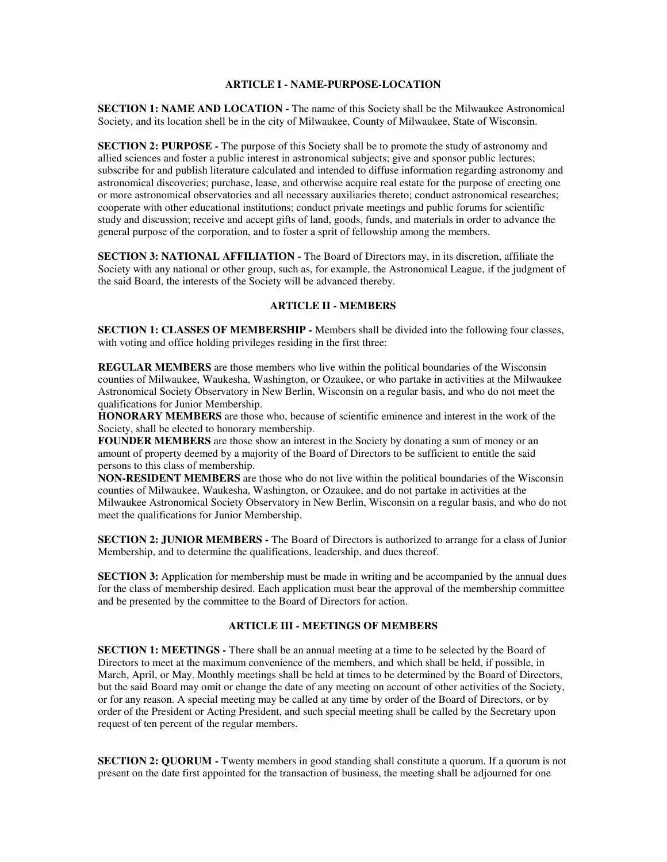## **ARTICLE I - NAME-PURPOSE-LOCATION**

**SECTION 1: NAME AND LOCATION -** The name of this Society shall be the Milwaukee Astronomical Society, and its location shell be in the city of Milwaukee, County of Milwaukee, State of Wisconsin.

**SECTION 2: PURPOSE -** The purpose of this Society shall be to promote the study of astronomy and allied sciences and foster a public interest in astronomical subjects; give and sponsor public lectures; subscribe for and publish literature calculated and intended to diffuse information regarding astronomy and astronomical discoveries; purchase, lease, and otherwise acquire real estate for the purpose of erecting one or more astronomical observatories and all necessary auxiliaries thereto; conduct astronomical researches; cooperate with other educational institutions; conduct private meetings and public forums for scientific study and discussion; receive and accept gifts of land, goods, funds, and materials in order to advance the general purpose of the corporation, and to foster a sprit of fellowship among the members.

**SECTION 3: NATIONAL AFFILIATION -** The Board of Directors may, in its discretion, affiliate the Society with any national or other group, such as, for example, the Astronomical League, if the judgment of the said Board, the interests of the Society will be advanced thereby.

## **ARTICLE II - MEMBERS**

**SECTION 1: CLASSES OF MEMBERSHIP -** Members shall be divided into the following four classes, with voting and office holding privileges residing in the first three:

**REGULAR MEMBERS** are those members who live within the political boundaries of the Wisconsin counties of Milwaukee, Waukesha, Washington, or Ozaukee, or who partake in activities at the Milwaukee Astronomical Society Observatory in New Berlin, Wisconsin on a regular basis, and who do not meet the qualifications for Junior Membership.

**HONORARY MEMBERS** are those who, because of scientific eminence and interest in the work of the Society, shall be elected to honorary membership.

**FOUNDER MEMBERS** are those show an interest in the Society by donating a sum of money or an amount of property deemed by a majority of the Board of Directors to be sufficient to entitle the said persons to this class of membership.

**NON-RESIDENT MEMBERS** are those who do not live within the political boundaries of the Wisconsin counties of Milwaukee, Waukesha, Washington, or Ozaukee, and do not partake in activities at the Milwaukee Astronomical Society Observatory in New Berlin, Wisconsin on a regular basis, and who do not meet the qualifications for Junior Membership.

**SECTION 2: JUNIOR MEMBERS -** The Board of Directors is authorized to arrange for a class of Junior Membership, and to determine the qualifications, leadership, and dues thereof.

**SECTION 3:** Application for membership must be made in writing and be accompanied by the annual dues for the class of membership desired. Each application must bear the approval of the membership committee and be presented by the committee to the Board of Directors for action.

### **ARTICLE III - MEETINGS OF MEMBERS**

**SECTION 1: MEETINGS - There shall be an annual meeting at a time to be selected by the Board of** Directors to meet at the maximum convenience of the members, and which shall be held, if possible, in March, April, or May. Monthly meetings shall be held at times to be determined by the Board of Directors, but the said Board may omit or change the date of any meeting on account of other activities of the Society, or for any reason. A special meeting may be called at any time by order of the Board of Directors, or by order of the President or Acting President, and such special meeting shall be called by the Secretary upon request of ten percent of the regular members.

**SECTION 2: QUORUM -** Twenty members in good standing shall constitute a quorum. If a quorum is not present on the date first appointed for the transaction of business, the meeting shall be adjourned for one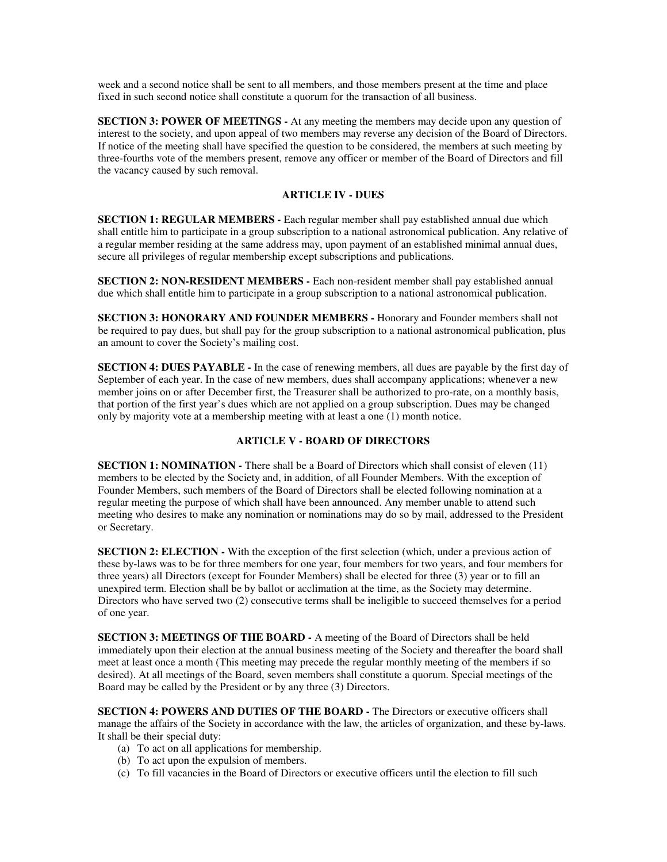week and a second notice shall be sent to all members, and those members present at the time and place fixed in such second notice shall constitute a quorum for the transaction of all business.

**SECTION 3: POWER OF MEETINGS -** At any meeting the members may decide upon any question of interest to the society, and upon appeal of two members may reverse any decision of the Board of Directors. If notice of the meeting shall have specified the question to be considered, the members at such meeting by three-fourths vote of the members present, remove any officer or member of the Board of Directors and fill the vacancy caused by such removal.

### **ARTICLE IV - DUES**

**SECTION 1: REGULAR MEMBERS -** Each regular member shall pay established annual due which shall entitle him to participate in a group subscription to a national astronomical publication. Any relative of a regular member residing at the same address may, upon payment of an established minimal annual dues, secure all privileges of regular membership except subscriptions and publications.

**SECTION 2: NON-RESIDENT MEMBERS -** Each non-resident member shall pay established annual due which shall entitle him to participate in a group subscription to a national astronomical publication.

**SECTION 3: HONORARY AND FOUNDER MEMBERS -** Honorary and Founder members shall not be required to pay dues, but shall pay for the group subscription to a national astronomical publication, plus an amount to cover the Society's mailing cost.

**SECTION 4: DUES PAYABLE -** In the case of renewing members, all dues are payable by the first day of September of each year. In the case of new members, dues shall accompany applications; whenever a new member joins on or after December first, the Treasurer shall be authorized to pro-rate, on a monthly basis, that portion of the first year's dues which are not applied on a group subscription. Dues may be changed only by majority vote at a membership meeting with at least a one (1) month notice.

### **ARTICLE V - BOARD OF DIRECTORS**

**SECTION 1: NOMINATION -** There shall be a Board of Directors which shall consist of eleven (11) members to be elected by the Society and, in addition, of all Founder Members. With the exception of Founder Members, such members of the Board of Directors shall be elected following nomination at a regular meeting the purpose of which shall have been announced. Any member unable to attend such meeting who desires to make any nomination or nominations may do so by mail, addressed to the President or Secretary.

**SECTION 2: ELECTION - With the exception of the first selection (which, under a previous action of** these by-laws was to be for three members for one year, four members for two years, and four members for three years) all Directors (except for Founder Members) shall be elected for three (3) year or to fill an unexpired term. Election shall be by ballot or acclimation at the time, as the Society may determine. Directors who have served two (2) consecutive terms shall be ineligible to succeed themselves for a period of one year.

**SECTION 3: MEETINGS OF THE BOARD -** A meeting of the Board of Directors shall be held immediately upon their election at the annual business meeting of the Society and thereafter the board shall meet at least once a month (This meeting may precede the regular monthly meeting of the members if so desired). At all meetings of the Board, seven members shall constitute a quorum. Special meetings of the Board may be called by the President or by any three (3) Directors.

**SECTION 4: POWERS AND DUTIES OF THE BOARD -** The Directors or executive officers shall manage the affairs of the Society in accordance with the law, the articles of organization, and these by-laws. It shall be their special duty:

- (a) To act on all applications for membership.
- (b) To act upon the expulsion of members.
- (c) To fill vacancies in the Board of Directors or executive officers until the election to fill such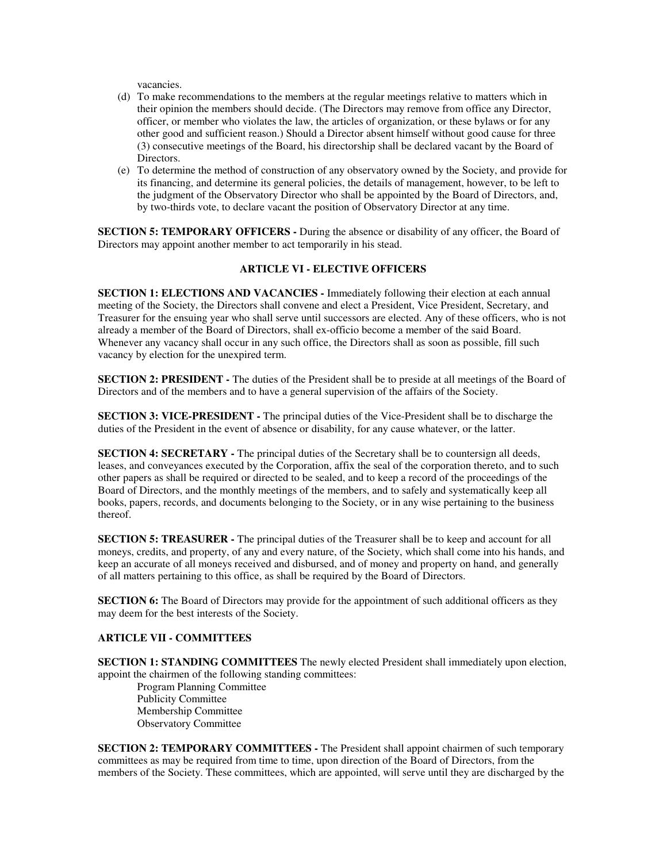vacancies.

- (d) To make recommendations to the members at the regular meetings relative to matters which in their opinion the members should decide. (The Directors may remove from office any Director, officer, or member who violates the law, the articles of organization, or these bylaws or for any other good and sufficient reason.) Should a Director absent himself without good cause for three (3) consecutive meetings of the Board, his directorship shall be declared vacant by the Board of Directors.
- (e) To determine the method of construction of any observatory owned by the Society, and provide for its financing, and determine its general policies, the details of management, however, to be left to the judgment of the Observatory Director who shall be appointed by the Board of Directors, and, by two-thirds vote, to declare vacant the position of Observatory Director at any time.

**SECTION 5: TEMPORARY OFFICERS -** During the absence or disability of any officer, the Board of Directors may appoint another member to act temporarily in his stead.

# **ARTICLE VI - ELECTIVE OFFICERS**

**SECTION 1: ELECTIONS AND VACANCIES -** Immediately following their election at each annual meeting of the Society, the Directors shall convene and elect a President, Vice President, Secretary, and Treasurer for the ensuing year who shall serve until successors are elected. Any of these officers, who is not already a member of the Board of Directors, shall ex-officio become a member of the said Board. Whenever any vacancy shall occur in any such office, the Directors shall as soon as possible, fill such vacancy by election for the unexpired term.

**SECTION 2: PRESIDENT -** The duties of the President shall be to preside at all meetings of the Board of Directors and of the members and to have a general supervision of the affairs of the Society.

**SECTION 3: VICE-PRESIDENT -** The principal duties of the Vice-President shall be to discharge the duties of the President in the event of absence or disability, for any cause whatever, or the latter.

**SECTION 4: SECRETARY** - The principal duties of the Secretary shall be to countersign all deeds, leases, and conveyances executed by the Corporation, affix the seal of the corporation thereto, and to such other papers as shall be required or directed to be sealed, and to keep a record of the proceedings of the Board of Directors, and the monthly meetings of the members, and to safely and systematically keep all books, papers, records, and documents belonging to the Society, or in any wise pertaining to the business thereof.

**SECTION 5: TREASURER -** The principal duties of the Treasurer shall be to keep and account for all moneys, credits, and property, of any and every nature, of the Society, which shall come into his hands, and keep an accurate of all moneys received and disbursed, and of money and property on hand, and generally of all matters pertaining to this office, as shall be required by the Board of Directors.

**SECTION 6:** The Board of Directors may provide for the appointment of such additional officers as they may deem for the best interests of the Society.

### **ARTICLE VII - COMMITTEES**

**SECTION 1: STANDING COMMITTEES** The newly elected President shall immediately upon election, appoint the chairmen of the following standing committees:

Program Planning Committee Publicity Committee Membership Committee Observatory Committee

**SECTION 2: TEMPORARY COMMITTEES -** The President shall appoint chairmen of such temporary committees as may be required from time to time, upon direction of the Board of Directors, from the members of the Society. These committees, which are appointed, will serve until they are discharged by the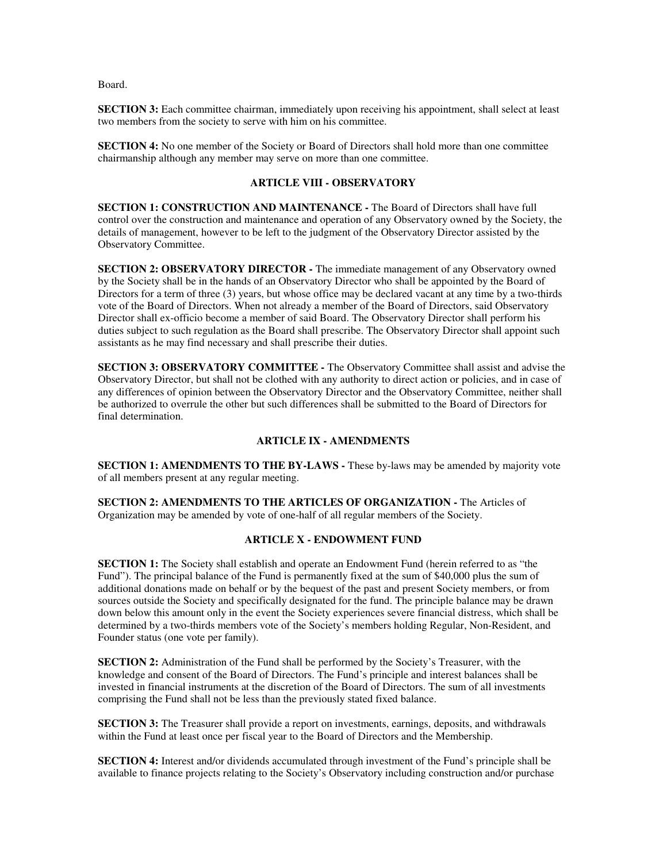Board.

**SECTION 3:** Each committee chairman, immediately upon receiving his appointment, shall select at least two members from the society to serve with him on his committee.

**SECTION 4:** No one member of the Society or Board of Directors shall hold more than one committee chairmanship although any member may serve on more than one committee.

## **ARTICLE VIII - OBSERVATORY**

**SECTION 1: CONSTRUCTION AND MAINTENANCE -** The Board of Directors shall have full control over the construction and maintenance and operation of any Observatory owned by the Society, the details of management, however to be left to the judgment of the Observatory Director assisted by the Observatory Committee.

**SECTION 2: OBSERVATORY DIRECTOR - The immediate management of any Observatory owned** by the Society shall be in the hands of an Observatory Director who shall be appointed by the Board of Directors for a term of three (3) years, but whose office may be declared vacant at any time by a two-thirds vote of the Board of Directors. When not already a member of the Board of Directors, said Observatory Director shall ex-officio become a member of said Board. The Observatory Director shall perform his duties subject to such regulation as the Board shall prescribe. The Observatory Director shall appoint such assistants as he may find necessary and shall prescribe their duties.

**SECTION 3: OBSERVATORY COMMITTEE -** The Observatory Committee shall assist and advise the Observatory Director, but shall not be clothed with any authority to direct action or policies, and in case of any differences of opinion between the Observatory Director and the Observatory Committee, neither shall be authorized to overrule the other but such differences shall be submitted to the Board of Directors for final determination.

### **ARTICLE IX - AMENDMENTS**

**SECTION 1: AMENDMENTS TO THE BY-LAWS -** These by-laws may be amended by majority vote of all members present at any regular meeting.

**SECTION 2: AMENDMENTS TO THE ARTICLES OF ORGANIZATION -** The Articles of Organization may be amended by vote of one-half of all regular members of the Society.

## **ARTICLE X - ENDOWMENT FUND**

**SECTION 1:** The Society shall establish and operate an Endowment Fund (herein referred to as "the Fund"). The principal balance of the Fund is permanently fixed at the sum of \$40,000 plus the sum of additional donations made on behalf or by the bequest of the past and present Society members, or from sources outside the Society and specifically designated for the fund. The principle balance may be drawn down below this amount only in the event the Society experiences severe financial distress, which shall be determined by a two-thirds members vote of the Society's members holding Regular, Non-Resident, and Founder status (one vote per family).

**SECTION 2:** Administration of the Fund shall be performed by the Society's Treasurer, with the knowledge and consent of the Board of Directors. The Fund's principle and interest balances shall be invested in financial instruments at the discretion of the Board of Directors. The sum of all investments comprising the Fund shall not be less than the previously stated fixed balance.

**SECTION 3:** The Treasurer shall provide a report on investments, earnings, deposits, and withdrawals within the Fund at least once per fiscal year to the Board of Directors and the Membership.

**SECTION 4:** Interest and/or dividends accumulated through investment of the Fund's principle shall be available to finance projects relating to the Society's Observatory including construction and/or purchase